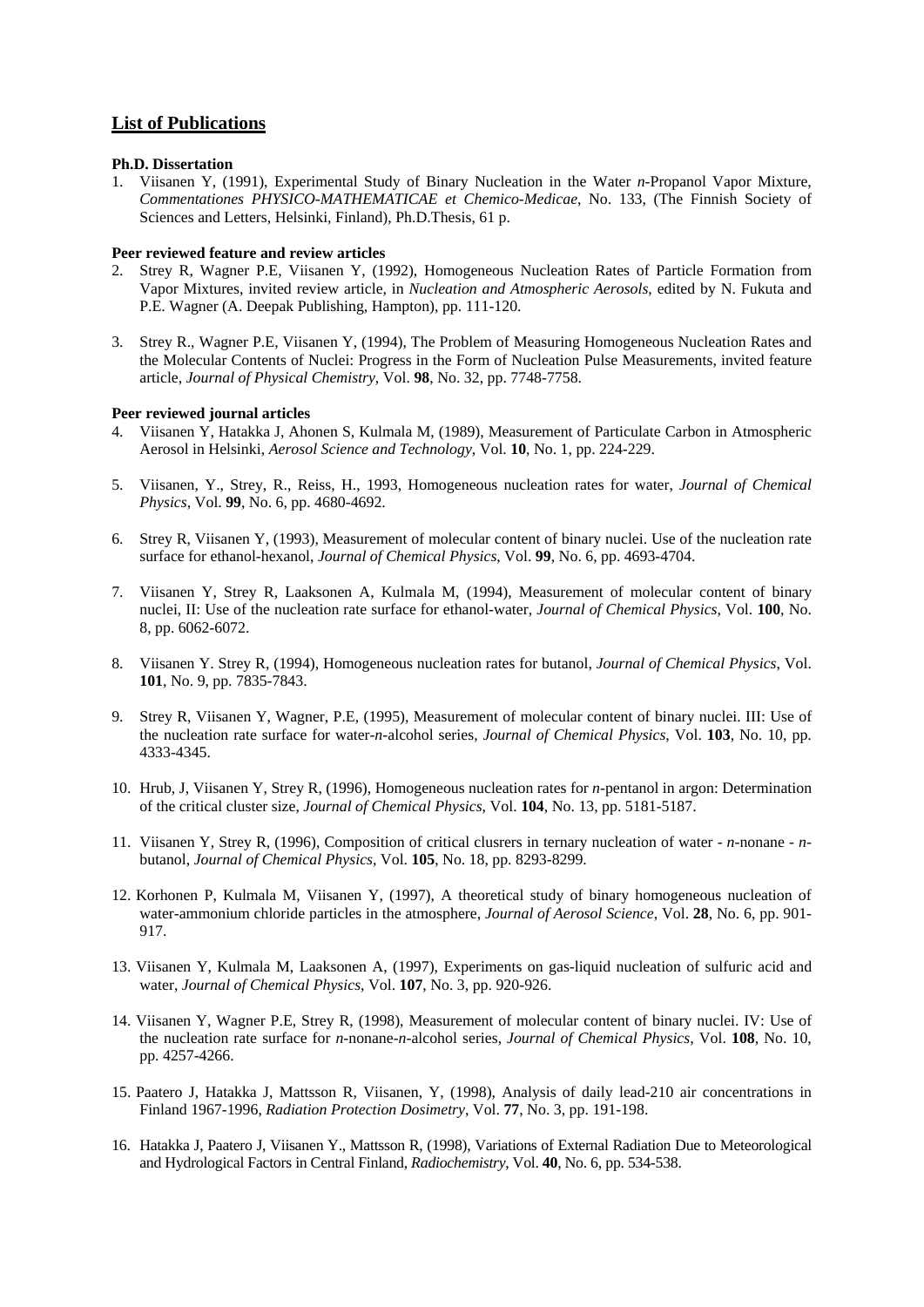## **List of Publications**

## **Ph.D. Dissertation**

1. Viisanen Y, (1991), Experimental Study of Binary Nucleation in the Water *n*-Propanol Vapor Mixture, *Commentationes PHYSICO-MATHEMATICAE et Chemico-Medicae*, No. 133, (The Finnish Society of Sciences and Letters, Helsinki, Finland), Ph.D.Thesis, 61 p.

## **Peer reviewed feature and review articles**

- 2. Strey R, Wagner P.E, Viisanen Y, (1992), Homogeneous Nucleation Rates of Particle Formation from Vapor Mixtures, invited review article, in *Nucleation and Atmospheric Aerosols*, edited by N. Fukuta and P.E. Wagner (A. Deepak Publishing, Hampton), pp. 111-120.
- 3. Strey R., Wagner P.E, Viisanen Y, (1994), The Problem of Measuring Homogeneous Nucleation Rates and the Molecular Contents of Nuclei: Progress in the Form of Nucleation Pulse Measurements, invited feature article, *Journal of Physical Chemistry*, Vol. **98**, No. 32, pp. 7748-7758.

## **Peer reviewed journal articles**

- 4. Viisanen Y, Hatakka J, Ahonen S, Kulmala M, (1989), Measurement of Particulate Carbon in Atmospheric Aerosol in Helsinki, *Aerosol Science and Technology*, Vol. **10**, No. 1, pp. 224-229.
- 5. Viisanen, Y., Strey, R., Reiss, H., 1993, Homogeneous nucleation rates for water, *Journal of Chemical Physics*, Vol. **99**, No. 6, pp. 4680-4692.
- 6. Strey R, Viisanen Y, (1993), Measurement of molecular content of binary nuclei. Use of the nucleation rate surface for ethanol-hexanol, *Journal of Chemical Physics*, Vol. **99**, No. 6, pp. 4693-4704.
- 7. Viisanen Y, Strey R, Laaksonen A, Kulmala M, (1994), Measurement of molecular content of binary nuclei, II: Use of the nucleation rate surface for ethanol-water, *Journal of Chemical Physics*, Vol. **100**, No. 8, pp. 6062-6072.
- 8. Viisanen Y. Strey R, (1994), Homogeneous nucleation rates for butanol, *Journal of Chemical Physics*, Vol. **101**, No. 9, pp. 7835-7843.
- 9. Strey R, Viisanen Y, Wagner, P.E, (1995), Measurement of molecular content of binary nuclei. III: Use of the nucleation rate surface for water-*n*-alcohol series, *Journal of Chemical Physics*, Vol. **103**, No. 10, pp. 4333-4345.
- 10. Hrub, J, Viisanen Y, Strey R, (1996), Homogeneous nucleation rates for *n*-pentanol in argon: Determination of the critical cluster size, *Journal of Chemical Physics*, Vol. **104**, No. 13, pp. 5181-5187.
- 11. Viisanen Y, Strey R, (1996), Composition of critical clusrers in ternary nucleation of water *n*-nonane *n*butanol, *Journal of Chemical Physics*, Vol. **105**, No. 18, pp. 8293-8299.
- 12. Korhonen P, Kulmala M, Viisanen Y, (1997), A theoretical study of binary homogeneous nucleation of water-ammonium chloride particles in the atmosphere, *Journal of Aerosol Science*, Vol. **28**, No. 6, pp. 901- 917.
- 13. Viisanen Y, Kulmala M, Laaksonen A, (1997), Experiments on gas-liquid nucleation of sulfuric acid and water, *Journal of Chemical Physics*, Vol. **107**, No. 3, pp. 920-926.
- 14. Viisanen Y, Wagner P.E, Strey R, (1998), Measurement of molecular content of binary nuclei. IV: Use of the nucleation rate surface for *n*-nonane-*n*-alcohol series, *Journal of Chemical Physics*, Vol. **108**, No. 10, pp. 4257-4266.
- 15. Paatero J, Hatakka J, Mattsson R, Viisanen, Y, (1998), Analysis of daily lead-210 air concentrations in Finland 1967-1996, *Radiation Protection Dosimetry*, Vol. **77**, No. 3, pp. 191-198.
- 16. Hatakka J, Paatero J, Viisanen Y., Mattsson R, (1998), Variations of External Radiation Due to Meteorological and Hydrological Factors in Central Finland, *Radiochemistry*, Vol. **40**, No. 6, pp. 534-538.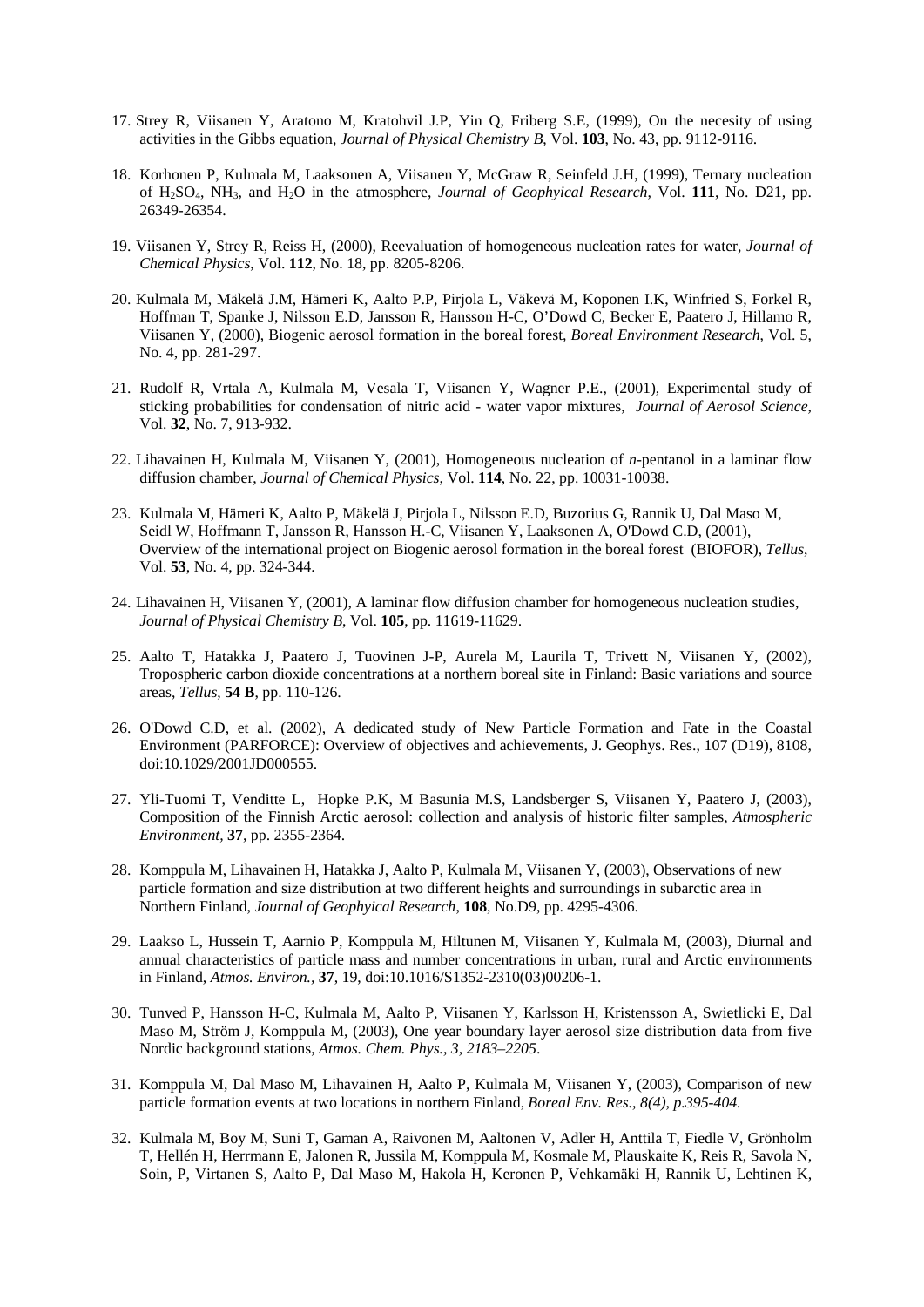- 17. Strey R, Viisanen Y, Aratono M, Kratohvil J.P, Yin Q, Friberg S.E, (1999), On the necesity of using activities in the Gibbs equation, *Journal of Physical Chemistry B*, Vol. **103**, No. 43, pp. 9112-9116.
- 18. Korhonen P, Kulmala M, Laaksonen A, Viisanen Y, McGraw R, Seinfeld J.H, (1999), Ternary nucleation of H2SO4, NH3, and H2O in the atmosphere, *Journal of Geophyical Research*, Vol. **111**, No. D21, pp. 26349-26354.
- 19. Viisanen Y, Strey R, Reiss H, (2000), Reevaluation of homogeneous nucleation rates for water, *Journal of Chemical Physics*, Vol. **112**, No. 18, pp. 8205-8206.
- 20. Kulmala M, Mäkelä J.M, Hämeri K, Aalto P.P, Pirjola L, Väkevä M, Koponen I.K, Winfried S, Forkel R, Hoffman T, Spanke J, Nilsson E.D, Jansson R, Hansson H-C, O'Dowd C, Becker E, Paatero J, Hillamo R, Viisanen Y, (2000), Biogenic aerosol formation in the boreal forest*, Boreal Environment Research*, Vol. 5, No. 4, pp. 281-297.
- 21. Rudolf R, Vrtala A, Kulmala M, Vesala T, Viisanen Y, Wagner P.E., (2001), Experimental study of sticking probabilities for condensation of nitric acid - water vapor mixtures, *Journal of Aerosol Science,* Vol. **32**, No. 7, 913-932.
- 22. Lihavainen H, Kulmala M, Viisanen Y, (2001), Homogeneous nucleation of *n*-pentanol in a laminar flow diffusion chamber, *Journal of Chemical Physics*, Vol. **114**, No. 22, pp. 10031-10038.
- 23. Kulmala M, Hämeri K, Aalto P, Mäkelä J, Pirjola L, Nilsson E.D, Buzorius G, Rannik U, Dal Maso M, Seidl W, Hoffmann T, Jansson R, Hansson H.-C, Viisanen Y, Laaksonen A, O'Dowd C.D, (2001), Overview of the international project on Biogenic aerosol formation in the boreal forest (BIOFOR), *Tellus*, Vol. **53**, No. 4, pp. 324-344.
- 24. Lihavainen H, Viisanen Y, (2001), A laminar flow diffusion chamber for homogeneous nucleation studies, *Journal of Physical Chemistry B*, Vol. **105**, pp. 11619-11629.
- 25. Aalto T, Hatakka J, Paatero J, Tuovinen J-P, Aurela M, Laurila T, Trivett N, Viisanen Y, (2002), Tropospheric carbon dioxide concentrations at a northern boreal site in Finland: Basic variations and source areas, *Tellus*, **54 B**, pp. 110-126.
- 26. O'Dowd C.D, et al. (2002), A dedicated study of New Particle Formation and Fate in the Coastal Environment (PARFORCE): Overview of objectives and achievements, J. Geophys. Res., 107 (D19), 8108, doi:10.1029/2001JD000555.
- 27. Yli-Tuomi T, Venditte L, Hopke P.K, M Basunia M.S, Landsberger S, Viisanen Y, Paatero J, (2003), Composition of the Finnish Arctic aerosol: collection and analysis of historic filter samples, *Atmospheric Environment,* **37**, pp. 2355-2364.
- 28. Komppula M, Lihavainen H, Hatakka J, Aalto P, Kulmala M, Viisanen Y, (2003), Observations of new particle formation and size distribution at two different heights and surroundings in subarctic area in Northern Finland, *Journal of Geophyical Research*, **108**, No.D9, pp. 4295-4306.
- 29. Laakso L, Hussein T, Aarnio P, Komppula M, Hiltunen M, Viisanen Y, Kulmala M, (2003), Diurnal and annual characteristics of particle mass and number concentrations in urban, rural and Arctic environments in Finland, *Atmos. Environ.,* **37**, 19, doi:10.1016/S1352-2310(03)00206-1.
- 30. Tunved P, Hansson H-C, Kulmala M, Aalto P, Viisanen Y, Karlsson H, Kristensson A, Swietlicki E, Dal Maso M, Ström J, Komppula M, (2003), One year boundary layer aerosol size distribution data from five Nordic background stations, *Atmos. Chem. Phys., 3, 2183–2205*.
- 31. Komppula M, Dal Maso M, Lihavainen H, Aalto P, Kulmala M, Viisanen Y, (2003), Comparison of new particle formation events at two locations in northern Finland, *Boreal Env. Res., 8(4), p.395-404.*
- 32. Kulmala M, Boy M, Suni T, Gaman A, Raivonen M, Aaltonen V, Adler H, Anttila T, Fiedle V, Grönholm T, Hellén H, Herrmann E, Jalonen R, Jussila M, Komppula M, Kosmale M, Plauskaite K, Reis R, Savola N, Soin, P, Virtanen S, Aalto P, Dal Maso M, Hakola H, Keronen P, Vehkamäki H, Rannik U, Lehtinen K,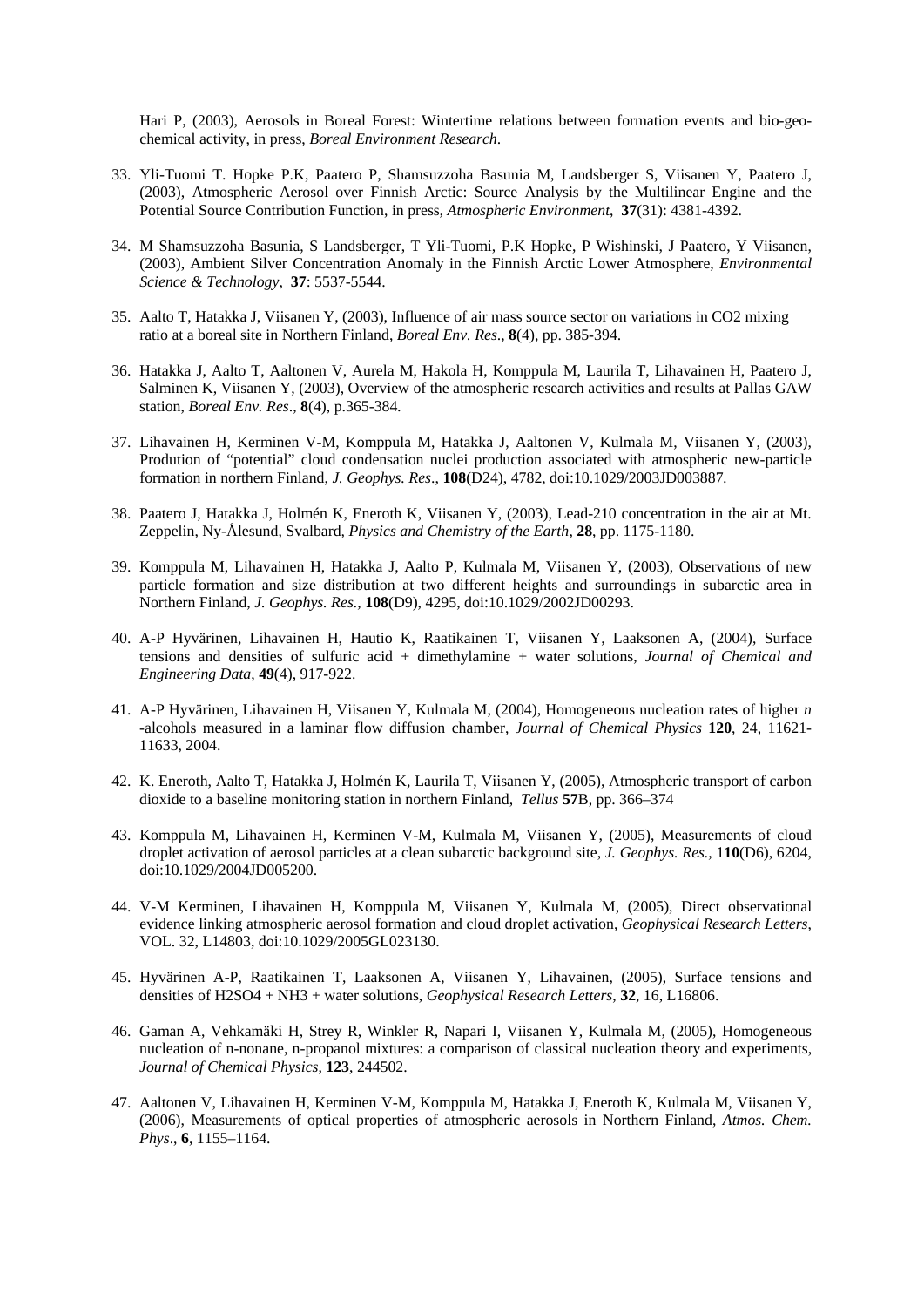Hari P, (2003), Aerosols in Boreal Forest: Wintertime relations between formation events and bio-geochemical activity, in press, *Boreal Environment Research*.

- 33. Yli-Tuomi T. Hopke P.K, Paatero P, Shamsuzzoha Basunia M, Landsberger S, Viisanen Y, Paatero J, (2003), Atmospheric Aerosol over Finnish Arctic: Source Analysis by the Multilinear Engine and the Potential Source Contribution Function, in press*, Atmospheric Environment*, **37**(31): 4381-4392.
- 34. M Shamsuzzoha Basunia, S Landsberger, T Yli-Tuomi, P.K Hopke, P Wishinski, J Paatero, Y Viisanen, (2003), Ambient Silver Concentration Anomaly in the Finnish Arctic Lower Atmosphere, *Environmental Science & Technology,* **37**: 5537-5544.
- 35. Aalto T, Hatakka J, Viisanen Y, (2003), Influence of air mass source sector on variations in CO2 mixing ratio at a boreal site in Northern Finland, *Boreal Env. Res*., **8**(4), pp. 385-394.
- 36. Hatakka J, Aalto T, Aaltonen V, Aurela M, Hakola H, Komppula M, Laurila T, Lihavainen H, Paatero J, Salminen K, Viisanen Y, (2003), Overview of the atmospheric research activities and results at Pallas GAW station, *Boreal Env. Res*., **8**(4), p.365-384*.*
- 37. Lihavainen H, Kerminen V-M, Komppula M, Hatakka J, Aaltonen V, Kulmala M, Viisanen Y, (2003), Prodution of "potential" cloud condensation nuclei production associated with atmospheric new-particle formation in northern Finland, *J. Geophys. Res*., **108**(D24), 4782, doi:10.1029/2003JD003887*.*
- 38. Paatero J, Hatakka J, Holmén K, Eneroth K, Viisanen Y, (2003), Lead-210 concentration in the air at Mt. Zeppelin, Ny-Ålesund, Svalbard*, Physics and Chemistry of the Earth*, **28**, pp. 1175-1180.
- 39. Komppula M, Lihavainen H, Hatakka J, Aalto P, Kulmala M, Viisanen Y, (2003), Observations of new particle formation and size distribution at two different heights and surroundings in subarctic area in Northern Finland, *J. Geophys. Res.,* **108**(D9), 4295, doi:10.1029/2002JD00293.
- 40. A-P Hyvärinen, Lihavainen H, Hautio K, Raatikainen T, Viisanen Y, Laaksonen A, (2004), Surface tensions and densities of sulfuric acid + dimethylamine + water solutions, *Journal of Chemical and Engineering Data*, **49**(4), 917-922.
- 41. A-P Hyvärinen, Lihavainen H, Viisanen Y, Kulmala M, (2004), Homogeneous nucleation rates of higher *n* -alcohols measured in a laminar flow diffusion chamber, *Journal of Chemical Physics* **120**, 24, 11621- 11633, 2004.
- 42. K. Eneroth, Aalto T, Hatakka J, Holmén K, Laurila T, Viisanen Y, (2005), Atmospheric transport of carbon dioxide to a baseline monitoring station in northern Finland, *Tellus* **57**B, pp. 366–374
- 43. Komppula M, Lihavainen H, Kerminen V-M, Kulmala M, Viisanen Y, (2005), Measurements of cloud droplet activation of aerosol particles at a clean subarctic background site, *J. Geophys. Res.,* 1**10**(D6), 6204, doi:10.1029/2004JD005200.
- 44. V-M Kerminen, Lihavainen H, Komppula M, Viisanen Y, Kulmala M, (2005), Direct observational evidence linking atmospheric aerosol formation and cloud droplet activation, *Geophysical Research Letters*, VOL. 32, L14803, doi:10.1029/2005GL023130.
- 45. Hyvärinen A-P, Raatikainen T, Laaksonen A, Viisanen Y, Lihavainen, (2005), Surface tensions and densities of H2SO4 + NH3 + water solutions, *Geophysical Research Letters*, **32**, 16, L16806.
- 46. Gaman A, Vehkamäki H, Strey R, Winkler R, Napari I, Viisanen Y, Kulmala M, (2005), Homogeneous nucleation of n-nonane, n-propanol mixtures: a comparison of classical nucleation theory and experiments, *Journal of Chemical Physics*, **123**, 244502.
- 47. Aaltonen V, Lihavainen H, Kerminen V-M, Komppula M, Hatakka J, Eneroth K, Kulmala M, Viisanen Y, (2006), Measurements of optical properties of atmospheric aerosols in Northern Finland, *Atmos. Chem. Phys*., **6**, 1155–1164.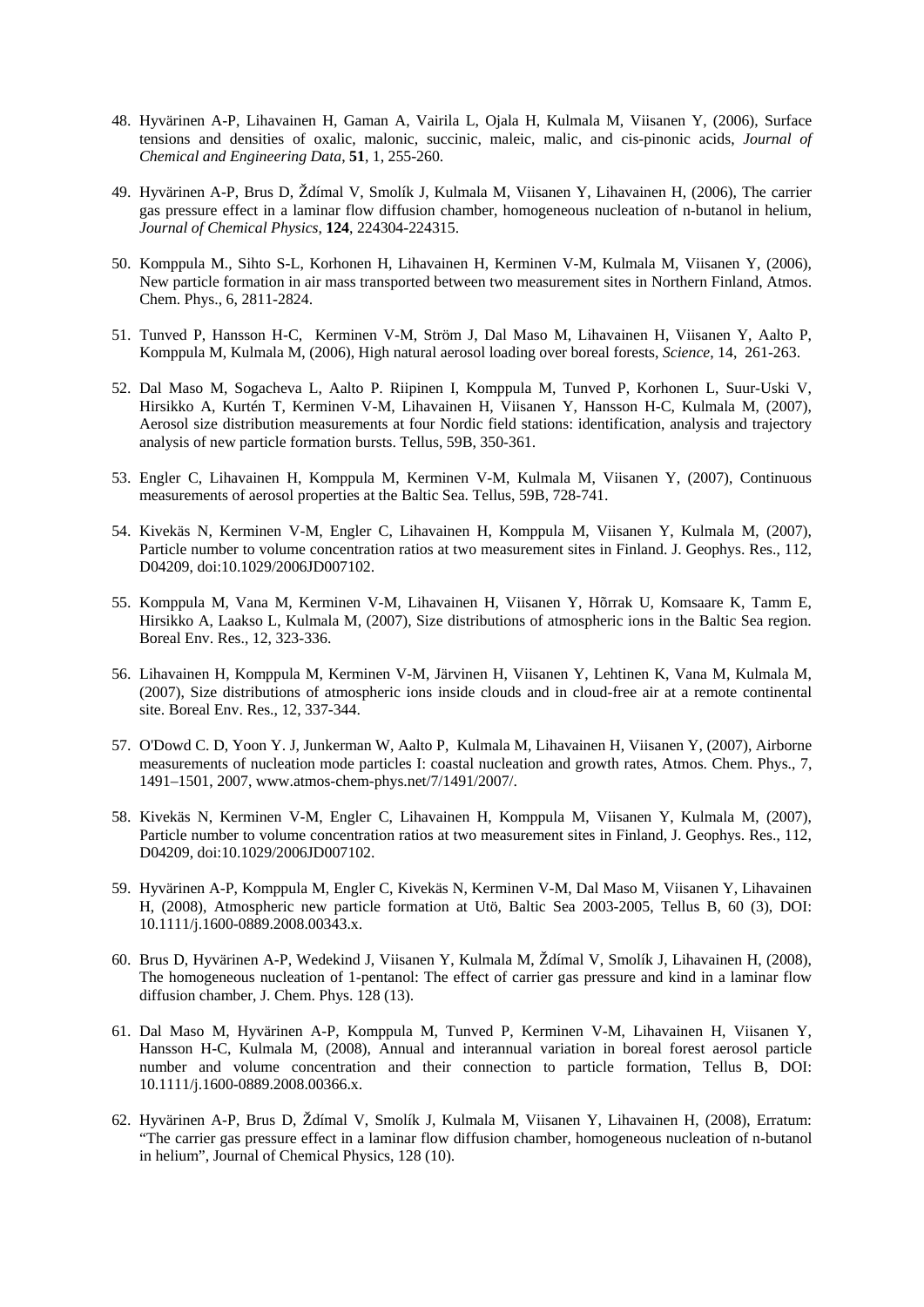- 48. Hyvärinen A-P, Lihavainen H, Gaman A, Vairila L, Ojala H, Kulmala M, Viisanen Y, (2006), Surface tensions and densities of oxalic, malonic, succinic, maleic, malic, and cis-pinonic acids, *Journal of Chemical and Engineering Data*, **51**, 1, 255-260.
- 49. Hyvärinen A-P, Brus D, Ždímal V, Smolík J, Kulmala M, Viisanen Y, Lihavainen H, (2006), The carrier gas pressure effect in a laminar flow diffusion chamber, homogeneous nucleation of n-butanol in helium, *Journal of Chemical Physics*, **124**, 224304-224315.
- 50. Komppula M., Sihto S-L, Korhonen H, Lihavainen H, Kerminen V-M, Kulmala M, Viisanen Y, (2006), New particle formation in air mass transported between two measurement sites in Northern Finland, Atmos. Chem. Phys., 6, 2811-2824.
- 51. Tunved P, Hansson H-C, Kerminen V-M, Ström J, Dal Maso M, Lihavainen H, Viisanen Y, Aalto P, Komppula M, Kulmala M, (2006), High natural aerosol loading over boreal forests, *Science*, 14, 261-263.
- 52. Dal Maso M, Sogacheva L, Aalto P. Riipinen I, Komppula M, Tunved P, Korhonen L, Suur-Uski V, Hirsikko A, Kurtén T, Kerminen V-M, Lihavainen H, Viisanen Y, Hansson H-C, Kulmala M, (2007), Aerosol size distribution measurements at four Nordic field stations: identification, analysis and trajectory analysis of new particle formation bursts. Tellus, 59B, 350-361.
- 53. Engler C, Lihavainen H, Komppula M, Kerminen V-M, Kulmala M, Viisanen Y, (2007), Continuous measurements of aerosol properties at the Baltic Sea. Tellus, 59B, 728-741.
- 54. Kivekäs N, Kerminen V-M, Engler C, Lihavainen H, Komppula M, Viisanen Y, Kulmala M, (2007), Particle number to volume concentration ratios at two measurement sites in Finland. J. Geophys. Res., 112, D04209, doi:10.1029/2006JD007102.
- 55. Komppula M, Vana M, Kerminen V-M, Lihavainen H, Viisanen Y, Hõrrak U, Komsaare K, Tamm E, Hirsikko A, Laakso L, Kulmala M, (2007), Size distributions of atmospheric ions in the Baltic Sea region. Boreal Env. Res., 12, 323-336.
- 56. Lihavainen H, Komppula M, Kerminen V-M, Järvinen H, Viisanen Y, Lehtinen K, Vana M, Kulmala M, (2007), Size distributions of atmospheric ions inside clouds and in cloud-free air at a remote continental site. Boreal Env. Res., 12, 337-344.
- 57. O'Dowd C. D, Yoon Y. J, Junkerman W, Aalto P, Kulmala M, Lihavainen H, Viisanen Y, (2007), Airborne measurements of nucleation mode particles I: coastal nucleation and growth rates, Atmos. Chem. Phys., 7, 1491–1501, 2007, www.atmos-chem-phys.net/7/1491/2007/.
- 58. Kivekäs N, Kerminen V-M, Engler C, Lihavainen H, Komppula M, Viisanen Y, Kulmala M, (2007), Particle number to volume concentration ratios at two measurement sites in Finland, J. Geophys. Res., 112, D04209, doi:10.1029/2006JD007102.
- 59. Hyvärinen A-P, Komppula M, Engler C, Kivekäs N, Kerminen V-M, Dal Maso M, Viisanen Y, Lihavainen H, (2008), Atmospheric new particle formation at Utö, Baltic Sea 2003-2005, Tellus B, 60 (3), DOI: 10.1111/j.1600-0889.2008.00343.x.
- 60. Brus D, Hyvärinen A-P, Wedekind J, Viisanen Y, Kulmala M, Ždímal V, Smolík J, Lihavainen H, (2008), The homogeneous nucleation of 1-pentanol: The effect of carrier gas pressure and kind in a laminar flow diffusion chamber, J. Chem. Phys. 128 (13).
- 61. Dal Maso M, Hyvärinen A-P, Komppula M, Tunved P, Kerminen V-M, Lihavainen H, Viisanen Y, Hansson H-C, Kulmala M, (2008), Annual and interannual variation in boreal forest aerosol particle number and volume concentration and their connection to particle formation, Tellus B, DOI: 10.1111/j.1600-0889.2008.00366.x.
- 62. Hyvärinen A-P, Brus D, Ždímal V, Smolík J, Kulmala M, Viisanen Y, Lihavainen H, (2008), Erratum: "The carrier gas pressure effect in a laminar flow diffusion chamber, homogeneous nucleation of n-butanol in helium", Journal of Chemical Physics, 128 (10).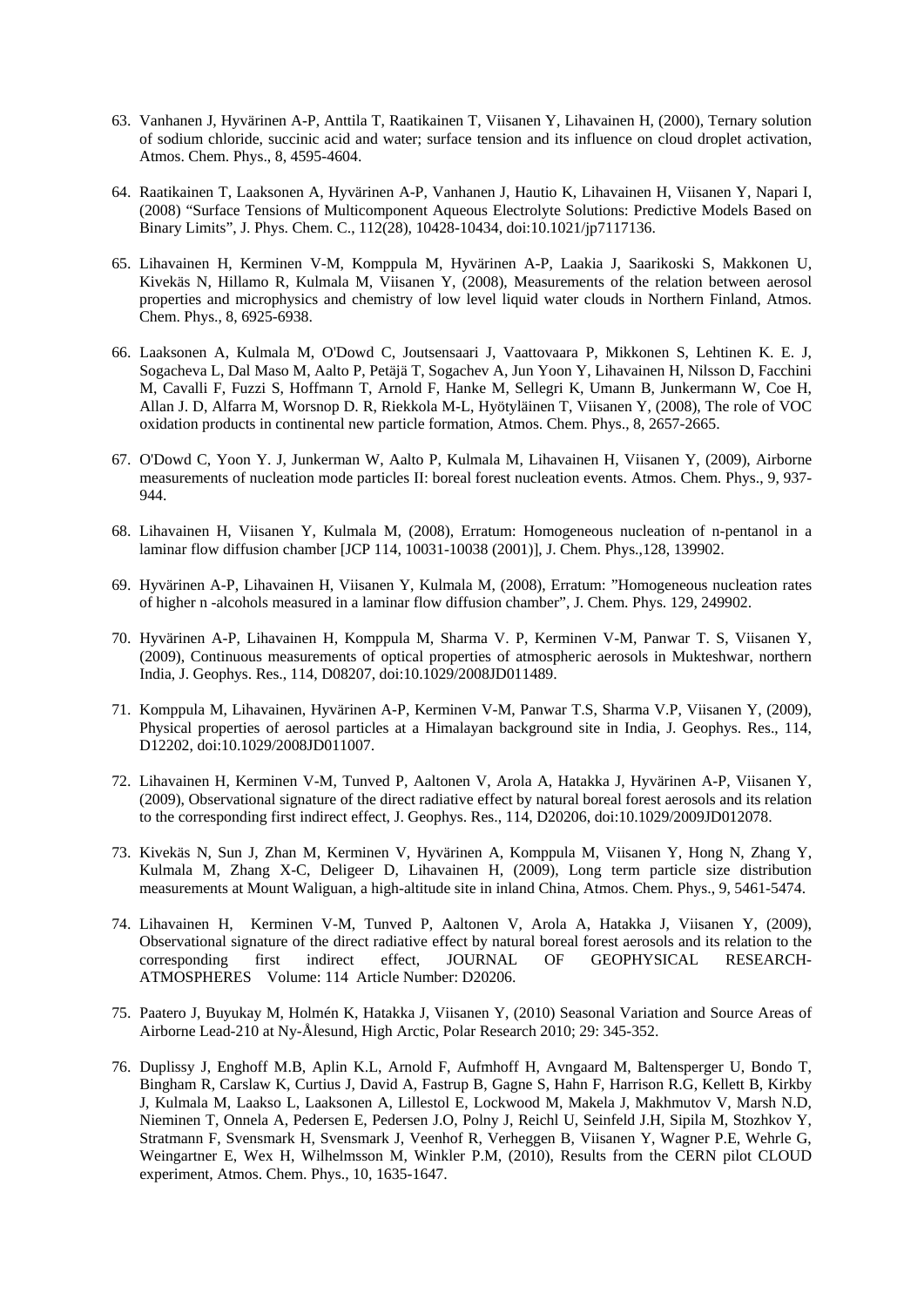- 63. Vanhanen J, Hyvärinen A-P, Anttila T, Raatikainen T, Viisanen Y, Lihavainen H, (2000), Ternary solution of sodium chloride, succinic acid and water; surface tension and its influence on cloud droplet activation, Atmos. Chem. Phys., 8, 4595-4604.
- 64. Raatikainen T, Laaksonen A, Hyvärinen A-P, Vanhanen J, Hautio K, Lihavainen H, Viisanen Y, Napari I, (2008) "Surface Tensions of Multicomponent Aqueous Electrolyte Solutions: Predictive Models Based on Binary Limits", J. Phys. Chem. C., 112(28), 10428-10434, doi:10.1021/jp7117136.
- 65. Lihavainen H, Kerminen V-M, Komppula M, Hyvärinen A-P, Laakia J, Saarikoski S, Makkonen U, Kivekäs N, Hillamo R, Kulmala M, Viisanen Y, (2008), Measurements of the relation between aerosol properties and microphysics and chemistry of low level liquid water clouds in Northern Finland, Atmos. Chem. Phys., 8, 6925-6938.
- 66. Laaksonen A, Kulmala M, O'Dowd C, Joutsensaari J, Vaattovaara P, Mikkonen S, Lehtinen K. E. J, Sogacheva L, Dal Maso M, Aalto P, Petäjä T, Sogachev A, Jun Yoon Y, Lihavainen H, Nilsson D, Facchini M, Cavalli F, Fuzzi S, Hoffmann T, Arnold F, Hanke M, Sellegri K, Umann B, Junkermann W, Coe H, Allan J. D, Alfarra M, Worsnop D. R, Riekkola M-L, Hyötyläinen T, Viisanen Y, (2008), The role of VOC oxidation products in continental new particle formation, Atmos. Chem. Phys., 8, 2657-2665.
- 67. O'Dowd C, Yoon Y. J, Junkerman W, Aalto P, Kulmala M, Lihavainen H, Viisanen Y, (2009), Airborne measurements of nucleation mode particles II: boreal forest nucleation events. Atmos. Chem. Phys., 9, 937- 944.
- 68. Lihavainen H, Viisanen Y, Kulmala M, (2008), Erratum: Homogeneous nucleation of n-pentanol in a laminar flow diffusion chamber [JCP 114, 10031-10038 (2001)], J. Chem. Phys.,128, 139902.
- 69. Hyvärinen A-P, Lihavainen H, Viisanen Y, Kulmala M, (2008), Erratum: "Homogeneous nucleation rates of higher n -alcohols measured in a laminar flow diffusion chamber", J. Chem. Phys. 129, 249902.
- 70. Hyvärinen A-P, Lihavainen H, Komppula M, Sharma V. P, Kerminen V-M, Panwar T. S, Viisanen Y, (2009), Continuous measurements of optical properties of atmospheric aerosols in Mukteshwar, northern India, J. Geophys. Res., 114, D08207, doi:10.1029/2008JD011489.
- 71. Komppula M, Lihavainen, Hyvärinen A-P, Kerminen V-M, Panwar T.S, Sharma V.P, Viisanen Y, (2009), Physical properties of aerosol particles at a Himalayan background site in India, J. Geophys. Res., 114, D12202, doi:10.1029/2008JD011007.
- 72. Lihavainen H, Kerminen V-M, Tunved P, Aaltonen V, Arola A, Hatakka J, Hyvärinen A-P, Viisanen Y, (2009), Observational signature of the direct radiative effect by natural boreal forest aerosols and its relation to the corresponding first indirect effect, J. Geophys. Res., 114, D20206, doi:10.1029/2009JD012078.
- 73. Kivekäs N, Sun J, Zhan M, Kerminen V, Hyvärinen A, Komppula M, Viisanen Y, Hong N, Zhang Y, Kulmala M, Zhang X-C, Deligeer D, Lihavainen H, (2009), Long term particle size distribution measurements at Mount Waliguan, a high-altitude site in inland China, Atmos. Chem. Phys., 9, 5461-5474.
- 74. Lihavainen H, Kerminen V-M, Tunved P, Aaltonen V, Arola A, Hatakka J, Viisanen Y, (2009), Observational signature of the direct radiative effect by natural boreal forest aerosols and its relation to the corresponding first indirect effect, JOURNAL OF GEOPHYSICAL RESEARCHcorresponding first indirect effect, JOURNAL OF GEOPHYSICAL RESEARCH-ATMOSPHERES Volume: 114 Article Number: D20206.
- 75. Paatero J, Buyukay M, Holmén K, Hatakka J, Viisanen Y, (2010) Seasonal Variation and Source Areas of Airborne Lead-210 at Ny-Ålesund, High Arctic, Polar Research 2010; 29: 345-352.
- 76. Duplissy J, Enghoff M.B, Aplin K.L, Arnold F, Aufmhoff H, Avngaard M, Baltensperger U, Bondo T, Bingham R, Carslaw K, Curtius J, David A, Fastrup B, Gagne S, Hahn F, Harrison R.G, Kellett B, Kirkby J, Kulmala M, Laakso L, Laaksonen A, Lillestol E, Lockwood M, Makela J, Makhmutov V, Marsh N.D, Nieminen T, Onnela A, Pedersen E, Pedersen J.O, Polny J, Reichl U, Seinfeld J.H, Sipila M, Stozhkov Y, Stratmann F, Svensmark H, Svensmark J, Veenhof R, Verheggen B, Viisanen Y, Wagner P.E, Wehrle G, Weingartner E, Wex H, Wilhelmsson M, Winkler P.M, (2010), Results from the CERN pilot CLOUD experiment, Atmos. Chem. Phys., 10, 1635-1647.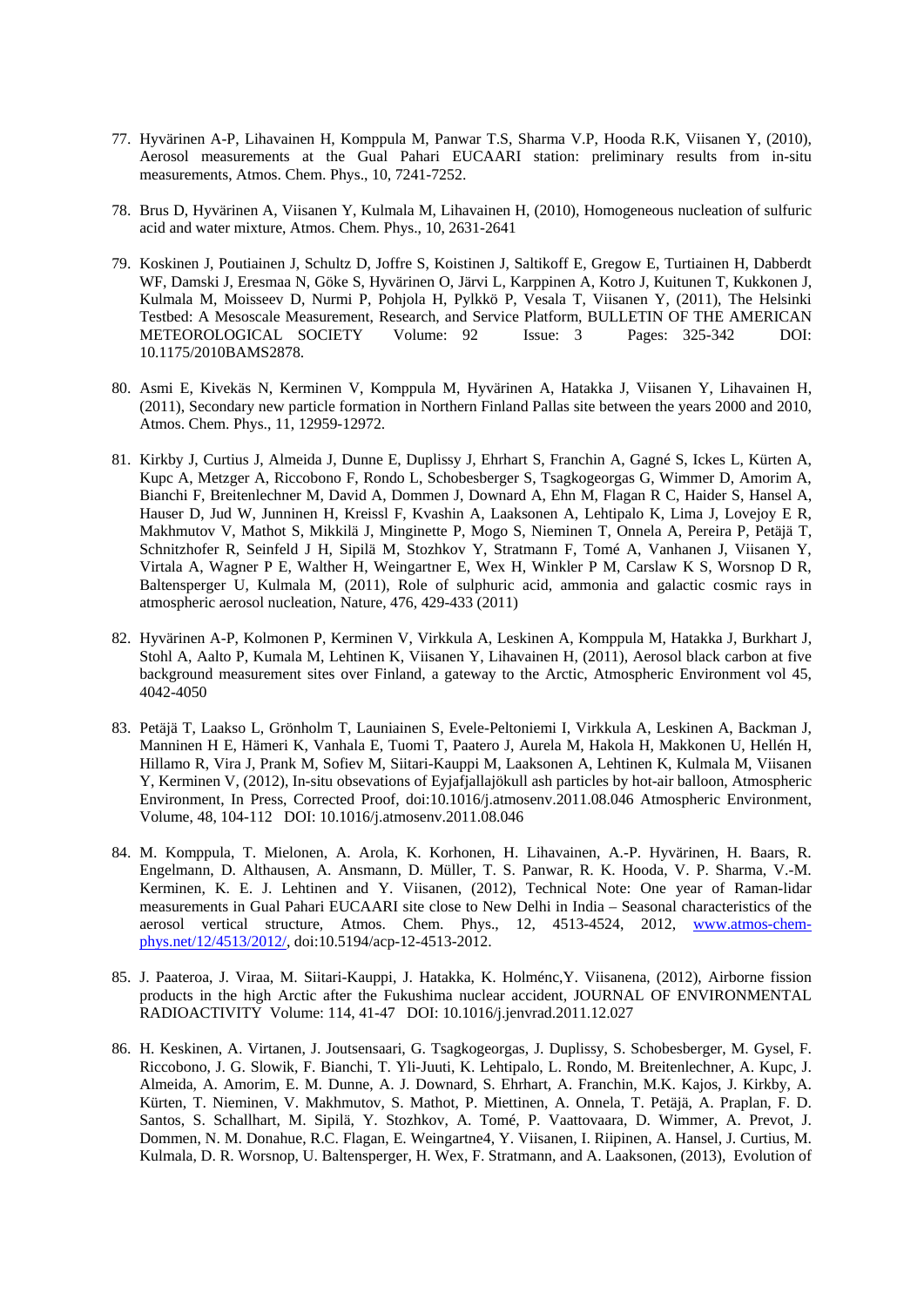- 77. Hyvärinen A-P, Lihavainen H, Komppula M, Panwar T.S, Sharma V.P, Hooda R.K, Viisanen Y, (2010), Aerosol measurements at the Gual Pahari EUCAARI station: preliminary results from in-situ measurements, Atmos. Chem. Phys., 10, 7241-7252.
- 78. Brus D, Hyvärinen A, Viisanen Y, Kulmala M, Lihavainen H, (2010), Homogeneous nucleation of sulfuric acid and water mixture, Atmos. Chem. Phys., 10, 2631-2641
- 79. Koskinen J, Poutiainen J, Schultz D, Joffre S, Koistinen J, Saltikoff E, Gregow E, Turtiainen H, Dabberdt WF, Damski J, Eresmaa N, Göke S, Hyvärinen O, Järvi L, Karppinen A, Kotro J, Kuitunen T, Kukkonen J, Kulmala M, Moisseev D, Nurmi P, Pohjola H, Pylkkö P, Vesala T, Viisanen Y, (2011), The Helsinki Testbed: A Mesoscale Measurement, Research, and Service Platform, BULLETIN OF THE AMERICAN METEOROLOGICAL SOCIETY Volume: 92 Issue: 3 Pages: 325-342 DOI: 10.1175/2010BAMS2878.
- 80. Asmi E, Kivekäs N, Kerminen V, Komppula M, Hyvärinen A, Hatakka J, Viisanen Y, Lihavainen H, (2011), Secondary new particle formation in Northern Finland Pallas site between the years 2000 and 2010, Atmos. Chem. Phys., 11, 12959-12972.
- 81. Kirkby J, Curtius J, Almeida J, Dunne E, Duplissy J, Ehrhart S, Franchin A, Gagné S, Ickes L, Kürten A, Kupc A, Metzger A, Riccobono F, Rondo L, Schobesberger S, Tsagkogeorgas G, Wimmer D, Amorim A, Bianchi F, Breitenlechner M, David A, Dommen J, Downard A, Ehn M, Flagan R C, Haider S, Hansel A, Hauser D, Jud W, Junninen H, Kreissl F, Kvashin A, Laaksonen A, Lehtipalo K, Lima J, Lovejoy E R, Makhmutov V, Mathot S, Mikkilä J, Minginette P, Mogo S, Nieminen T, Onnela A, Pereira P, Petäjä T, Schnitzhofer R, Seinfeld J H, Sipilä M, Stozhkov Y, Stratmann F, Tomé A, Vanhanen J, Viisanen Y, Virtala A, Wagner P E, Walther H, Weingartner E, Wex H, Winkler P M, Carslaw K S, Worsnop D R, Baltensperger U, Kulmala M, (2011), Role of sulphuric acid, ammonia and galactic cosmic rays in atmospheric aerosol nucleation, Nature, 476, 429-433 (2011)
- 82. Hyvärinen A-P, Kolmonen P, Kerminen V, Virkkula A, Leskinen A, Komppula M, Hatakka J, Burkhart J, Stohl A, Aalto P, Kumala M, Lehtinen K, Viisanen Y, Lihavainen H, (2011), Aerosol black carbon at five background measurement sites over Finland, a gateway to the Arctic, Atmospheric Environment vol 45, 4042-4050
- 83. Petäjä T, Laakso L, Grönholm T, Launiainen S, Evele-Peltoniemi I, Virkkula A, Leskinen A, Backman J, Manninen H E, Hämeri K, Vanhala E, Tuomi T, Paatero J, Aurela M, Hakola H, Makkonen U, Hellén H, Hillamo R, Vira J, Prank M, Sofiev M, Siitari-Kauppi M, Laaksonen A, Lehtinen K, Kulmala M, Viisanen Y, Kerminen V, (2012), In-situ obsevations of Eyjafjallajökull ash particles by hot-air balloon, Atmospheric Environment, In Press, Corrected Proof, doi:10.1016/j.atmosenv.2011.08.046 Atmospheric Environment, Volume, 48, 104-112 DOI: 10.1016/j.atmosenv.2011.08.046
- 84. M. Komppula, T. Mielonen, A. Arola, K. Korhonen, H. Lihavainen, A.-P. Hyvärinen, H. Baars, R. Engelmann, D. Althausen, A. Ansmann, D. Müller, T. S. Panwar, R. K. Hooda, V. P. Sharma, V.-M. Kerminen, K. E. J. Lehtinen and Y. Viisanen, (2012), Technical Note: One year of Raman-lidar measurements in Gual Pahari EUCAARI site close to New Delhi in India – Seasonal characteristics of the aerosol vertical structure, Atmos. Chem. Phys., 12, 4513-4524, 2012, www.atmos-chemphys.net/12/4513/2012/, doi:10.5194/acp-12-4513-2012.
- 85. J. Paateroa, J. Viraa, M. Siitari-Kauppi, J. Hatakka, K. Holménc,Y. Viisanena, (2012), Airborne fission products in the high Arctic after the Fukushima nuclear accident, JOURNAL OF ENVIRONMENTAL RADIOACTIVITY Volume: 114, 41-47 DOI: 10.1016/j.jenvrad.2011.12.027
- 86. H. Keskinen, A. Virtanen, J. Joutsensaari, G. Tsagkogeorgas, J. Duplissy, S. Schobesberger, M. Gysel, F. Riccobono, J. G. Slowik, F. Bianchi, T. Yli-Juuti, K. Lehtipalo, L. Rondo, M. Breitenlechner, A. Kupc, J. Almeida, A. Amorim, E. M. Dunne, A. J. Downard, S. Ehrhart, A. Franchin, M.K. Kajos, J. Kirkby, A. Kürten, T. Nieminen, V. Makhmutov, S. Mathot, P. Miettinen, A. Onnela, T. Petäjä, A. Praplan, F. D. Santos, S. Schallhart, M. Sipilä, Y. Stozhkov, A. Tomé, P. Vaattovaara, D. Wimmer, A. Prevot, J. Dommen, N. M. Donahue, R.C. Flagan, E. Weingartne4, Y. Viisanen, I. Riipinen, A. Hansel, J. Curtius, M. Kulmala, D. R. Worsnop, U. Baltensperger, H. Wex, F. Stratmann, and A. Laaksonen, (2013), Evolution of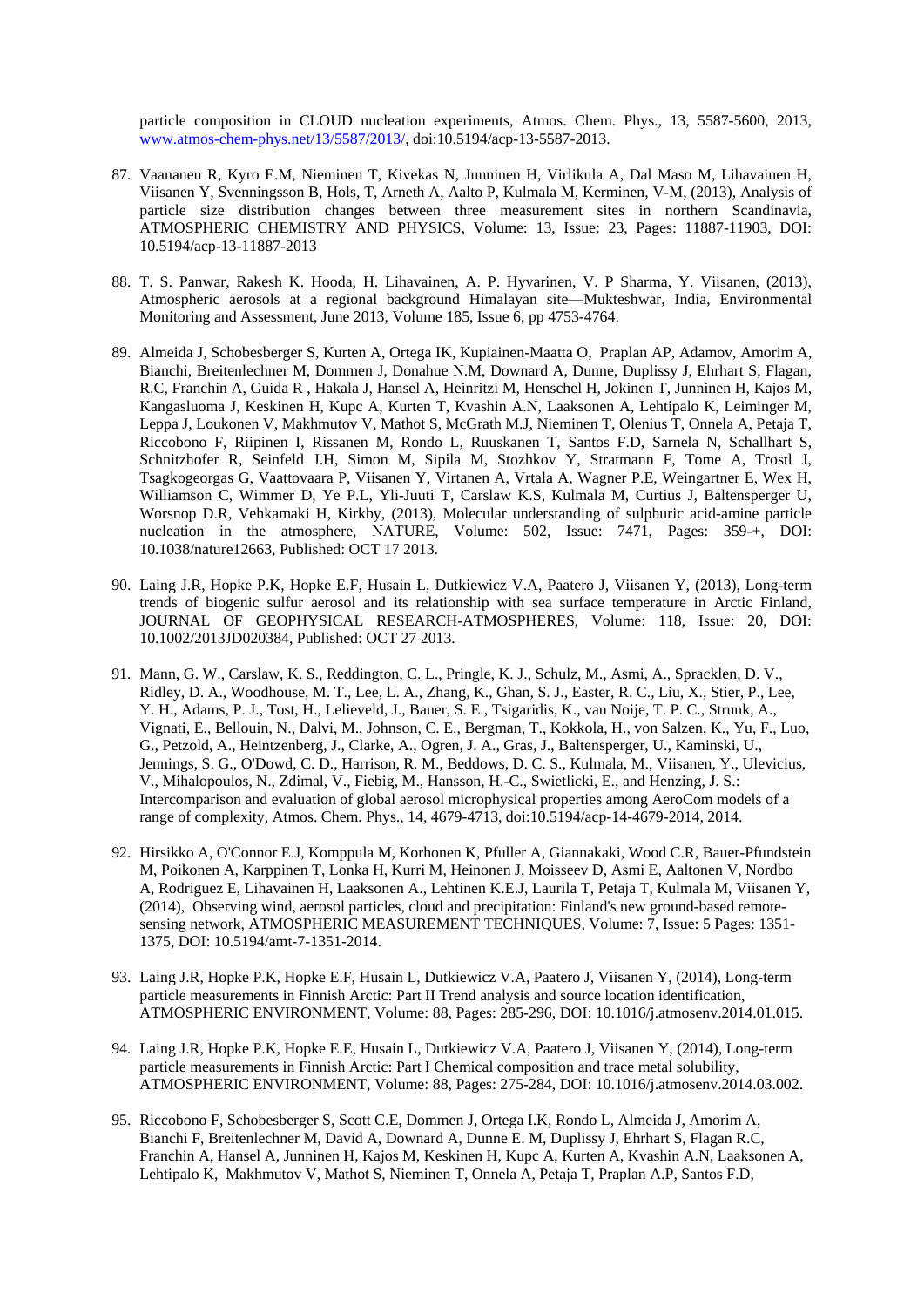particle composition in CLOUD nucleation experiments, Atmos. Chem. Phys., 13, 5587-5600, 2013, www.atmos-chem-phys.net/13/5587/2013/, doi:10.5194/acp-13-5587-2013.

- 87. Vaananen R, Kyro E.M, Nieminen T, Kivekas N, Junninen H, Virlikula A, Dal Maso M, Lihavainen H, Viisanen Y, Svenningsson B, Hols, T, Arneth A, Aalto P, Kulmala M, Kerminen, V-M, (2013), Analysis of particle size distribution changes between three measurement sites in northern Scandinavia, ATMOSPHERIC CHEMISTRY AND PHYSICS, Volume: 13, Issue: 23, Pages: 11887-11903, DOI: 10.5194/acp-13-11887-2013
- 88. T. S. Panwar, Rakesh K. Hooda, H. Lihavainen, A. P. Hyvarinen, V. P Sharma, Y. Viisanen, (2013), Atmospheric aerosols at a regional background Himalayan site—Mukteshwar, India, Environmental Monitoring and Assessment, June 2013, Volume 185, Issue 6, pp 4753-4764.
- 89. Almeida J, Schobesberger S, Kurten A, Ortega IK, Kupiainen-Maatta O, Praplan AP, Adamov, Amorim A, Bianchi, Breitenlechner M, Dommen J, Donahue N.M, Downard A, Dunne, Duplissy J, Ehrhart S, Flagan, R.C, Franchin A, Guida R , Hakala J, Hansel A, Heinritzi M, Henschel H, Jokinen T, Junninen H, Kajos M, Kangasluoma J, Keskinen H, Kupc A, Kurten T, Kvashin A.N, Laaksonen A, Lehtipalo K, Leiminger M, Leppa J, Loukonen V, Makhmutov V, Mathot S, McGrath M.J, Nieminen T, Olenius T, Onnela A, Petaja T, Riccobono F, Riipinen I, Rissanen M, Rondo L, Ruuskanen T, Santos F.D, Sarnela N, Schallhart S, Schnitzhofer R, Seinfeld J.H, Simon M, Sipila M, Stozhkov Y, Stratmann F, Tome A, Trostl J, Tsagkogeorgas G, Vaattovaara P, Viisanen Y, Virtanen A, Vrtala A, Wagner P.E, Weingartner E, Wex H, Williamson C, Wimmer D, Ye P.L, Yli-Juuti T, Carslaw K.S, Kulmala M, Curtius J, Baltensperger U, Worsnop D.R, Vehkamaki H, Kirkby, (2013), Molecular understanding of sulphuric acid-amine particle nucleation in the atmosphere, NATURE, Volume: 502, Issue: 7471, Pages: 359-+, DOI: 10.1038/nature12663, Published: OCT 17 2013.
- 90. Laing J.R, Hopke P.K, Hopke E.F, Husain L, Dutkiewicz V.A, Paatero J, Viisanen Y, (2013), Long-term trends of biogenic sulfur aerosol and its relationship with sea surface temperature in Arctic Finland, JOURNAL OF GEOPHYSICAL RESEARCH-ATMOSPHERES, Volume: 118, Issue: 20, DOI: 10.1002/2013JD020384, Published: OCT 27 2013.
- 91. Mann, G. W., Carslaw, K. S., Reddington, C. L., Pringle, K. J., Schulz, M., Asmi, A., Spracklen, D. V., Ridley, D. A., Woodhouse, M. T., Lee, L. A., Zhang, K., Ghan, S. J., Easter, R. C., Liu, X., Stier, P., Lee, Y. H., Adams, P. J., Tost, H., Lelieveld, J., Bauer, S. E., Tsigaridis, K., van Noije, T. P. C., Strunk, A., Vignati, E., Bellouin, N., Dalvi, M., Johnson, C. E., Bergman, T., Kokkola, H., von Salzen, K., Yu, F., Luo, G., Petzold, A., Heintzenberg, J., Clarke, A., Ogren, J. A., Gras, J., Baltensperger, U., Kaminski, U., Jennings, S. G., O'Dowd, C. D., Harrison, R. M., Beddows, D. C. S., Kulmala, M., Viisanen, Y., Ulevicius, V., Mihalopoulos, N., Zdimal, V., Fiebig, M., Hansson, H.-C., Swietlicki, E., and Henzing, J. S.: Intercomparison and evaluation of global aerosol microphysical properties among AeroCom models of a range of complexity, Atmos. Chem. Phys., 14, 4679-4713, doi:10.5194/acp-14-4679-2014, 2014.
- 92. Hirsikko A, O'Connor E.J, Komppula M, Korhonen K, Pfuller A, Giannakaki, Wood C.R, Bauer-Pfundstein M, Poikonen A, Karppinen T, Lonka H, Kurri M, Heinonen J, Moisseev D, Asmi E, Aaltonen V, Nordbo A, Rodriguez E, Lihavainen H, Laaksonen A., Lehtinen K.E.J, Laurila T, Petaja T, Kulmala M, Viisanen Y, (2014), Observing wind, aerosol particles, cloud and precipitation: Finland's new ground-based remotesensing network, ATMOSPHERIC MEASUREMENT TECHNIQUES, Volume: 7, Issue: 5 Pages: 1351- 1375, DOI: 10.5194/amt-7-1351-2014.
- 93. Laing J.R, Hopke P.K, Hopke E.F, Husain L, Dutkiewicz V.A, Paatero J, Viisanen Y, (2014), Long-term particle measurements in Finnish Arctic: Part II Trend analysis and source location identification, ATMOSPHERIC ENVIRONMENT, Volume: 88, Pages: 285-296, DOI: 10.1016/j.atmosenv.2014.01.015.
- 94. Laing J.R, Hopke P.K, Hopke E.E, Husain L, Dutkiewicz V.A, Paatero J, Viisanen Y, (2014), Long-term particle measurements in Finnish Arctic: Part I Chemical composition and trace metal solubility, ATMOSPHERIC ENVIRONMENT, Volume: 88, Pages: 275-284, DOI: 10.1016/j.atmosenv.2014.03.002.
- 95. Riccobono F, Schobesberger S, Scott C.E, Dommen J, Ortega I.K, Rondo L, Almeida J, Amorim A, Bianchi F, Breitenlechner M, David A, Downard A, Dunne E. M, Duplissy J, Ehrhart S, Flagan R.C, Franchin A, Hansel A, Junninen H, Kajos M, Keskinen H, Kupc A, Kurten A, Kvashin A.N, Laaksonen A, Lehtipalo K, Makhmutov V, Mathot S, Nieminen T, Onnela A, Petaja T, Praplan A.P, Santos F.D,